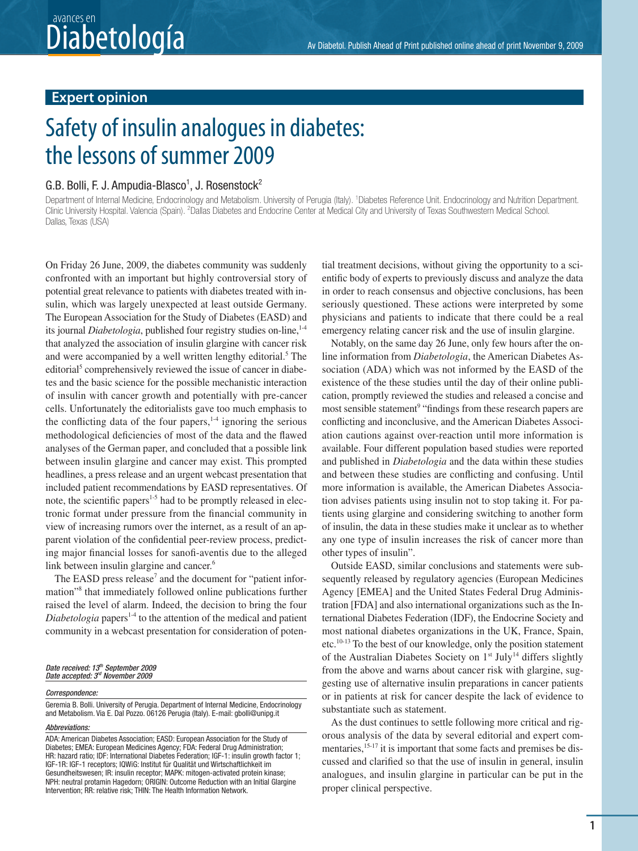## Diabetol. Publish Ahead of Print published online ahead of print November 9, 2009 avances en

## **Expert opinion**

# Safety of insulin analogues in diabetes: the lessons of summer 2009

#### G.B. Bolli, F. J. Ampudia-Blasco<sup>1</sup>, J. Rosenstock<sup>2</sup>

Department of Internal Medicine, Endocrinology and Metabolism. University of Perugia (Italy). <sup>1</sup> Diabetes Reference Unit. Endocrinology and Nutrition Department. Clinic University Hospital. Valencia (Spain). <sup>2</sup>Dallas Diabetes and Endocrine Center at Medical City and University of Texas Southwestern Medical School. Dallas, Texas (USA)

On Friday 26 June, 2009, the diabetes community was suddenly confronted with an important but highly controversial story of potential great relevance to patients with diabetes treated with insulin, which was largely unexpected at least outside Germany. The European Association for the Study of Diabetes (EASD) and its journal *Diabetologia*, published four registry studies on-line,<sup>14</sup> that analyzed the association of insulin glargine with cancer risk and were accompanied by a well written lengthy editorial.<sup>5</sup> The editorial<sup>5</sup> comprehensively reviewed the issue of cancer in diabetes and the basic science for the possible mechanistic interaction of insulin with cancer growth and potentially with pre-cancer cells. Unfortunately the editorialists gave too much emphasis to the conflicting data of the four papers, $1-4$  ignoring the serious methodological deficiencies of most of the data and the flawed analyses of the German paper, and concluded that a possible link between insulin glargine and cancer may exist. This prompted headlines, a press release and an urgent webcast presentation that included patient recommendations by EASD representatives. Of note, the scientific papers<sup>1-5</sup> had to be promptly released in electronic format under pressure from the financial community in view of increasing rumors over the internet, as a result of an apparent violation of the confidential peer-review process, predicting major financial losses for sanofi-aventis due to the alleged link between insulin glargine and cancer.<sup>6</sup>

The EASD press release<sup>7</sup> and the document for "patient information"<sup>8</sup> that immediately followed online publications further raised the level of alarm. Indeed, the decision to bring the four  $Diabetologia$  papers<sup>1-4</sup> to the attention of the medical and patient community in a webcast presentation for consideration of poten-

#### Date received: 13<sup>th</sup> September 2009 Date accepted: 3<sup>rd</sup> November 2009

#### Correspondence:

Geremia B. Bolli. University of Perugia. Department of Internal Medicine, Endocrinology and Metabolism. Via E. Dal Pozzo. 06126 Perugia (Italy). E-mail: gbolli@unipg.it

Abbreviations:

tial treatment decisions, without giving the opportunity to a scientific body of experts to previously discuss and analyze the data in order to reach consensus and objective conclusions, has been seriously questioned. These actions were interpreted by some physicians and patients to indicate that there could be a real emergency relating cancer risk and the use of insulin glargine.

Notably, on the same day 26 June, only few hours after the online information from *Diabetologia*, the American Diabetes Association (ADA) which was not informed by the EASD of the existence of the these studies until the day of their online publication, promptly reviewed the studies and released a concise and most sensible statement<sup>9</sup> "findings from these research papers are conßicting and inconclusive, and the American Diabetes Association cautions against over-reaction until more information is available. Four different population based studies were reported and published in *Diabetologia* and the data within these studies and between these studies are conßicting and confusing. Until more information is available, the American Diabetes Association advises patients using insulin not to stop taking it. For patients using glargine and considering switching to another form of insulin, the data in these studies make it unclear as to whether any one type of insulin increases the risk of cancer more than other types of insulin".

Outside EASD, similar conclusions and statements were subsequently released by regulatory agencies (European Medicines Agency [EMEA] and the United States Federal Drug Administration [FDA] and also international organizations such as the International Diabetes Federation (IDF), the Endocrine Society and most national diabetes organizations in the UK, France, Spain, etc.10-13 To the best of our knowledge, only the position statement of the Australian Diabetes Society on  $1<sup>st</sup>$  July<sup>14</sup> differs slightly from the above and warns about cancer risk with glargine, suggesting use of alternative insulin preparations in cancer patients or in patients at risk for cancer despite the lack of evidence to substantiate such as statement.

As the dust continues to settle following more critical and rigorous analysis of the data by several editorial and expert commentaries,<sup>15-17</sup> it is important that some facts and premises be discussed and clarified so that the use of insulin in general, insulin analogues, and insulin glargine in particular can be put in the proper clinical perspective.

ADA: American Diabetes Association; EASD: European Association for the Study of Diabetes; EMEA: European Medicines Agency; FDA: Federal Drug Administration; HR: hazard ratio; IDF: International Diabetes Federation; IGF-1: insulin growth factor 1; IGF-1R: IGF-1 receptors; IQWiG: Institut für Qualität und Wirtschaftlichkeit im Gesundheitswesen; IR: insulin receptor; MAPK: mitogen-activated protein kinase; NPH: neutral protamin Hagedorn; ORIGIN: Outcome Reduction with an Initial Glargine Intervention; RR: relative risk; THIN: The Health Information Network.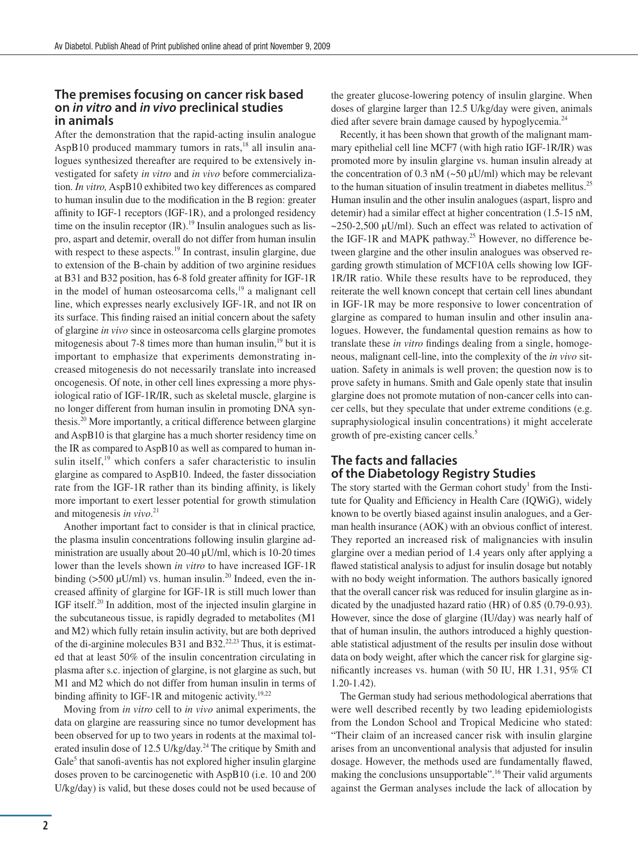#### **The premises focusing on cancer risk based on** *in vitro* **and** *in vivo* **preclinical studies in animals**

After the demonstration that the rapid-acting insulin analogue AspB10 produced mammary tumors in rats, $18$  all insulin analogues synthesized thereafter are required to be extensively investigated for safety *in vitro* and *in vivo* before commercialization. *In vitro,* AspB10 exhibited two key differences as compared to human insulin due to the modification in the B region: greater affinity to IGF-1 receptors (IGF-1R), and a prolonged residency time on the insulin receptor  $({\rm IR})$ .<sup>19</sup> Insulin analogues such as lispro, aspart and detemir, overall do not differ from human insulin with respect to these aspects.<sup>19</sup> In contrast, insulin glargine, due to extension of the B-chain by addition of two arginine residues at B31 and B32 position, has 6-8 fold greater affinity for IGF-1R in the model of human osteosarcoma cells, $19$  a malignant cell line, which expresses nearly exclusively IGF-1R, and not IR on its surface. This finding raised an initial concern about the safety of glargine *in vivo* since in osteosarcoma cells glargine promotes mitogenesis about 7-8 times more than human insulin, $19$  but it is important to emphasize that experiments demonstrating increased mitogenesis do not necessarily translate into increased oncogenesis. Of note, in other cell lines expressing a more physiological ratio of IGF-1R/IR, such as skeletal muscle, glargine is no longer different from human insulin in promoting DNA synthesis.20 More importantly, a critical difference between glargine and AspB10 is that glargine has a much shorter residency time on the IR as compared to AspB10 as well as compared to human insulin itself, $19$  which confers a safer characteristic to insulin glargine as compared to AspB10. Indeed, the faster dissociation rate from the IGF-1R rather than its binding affinity, is likely more important to exert lesser potential for growth stimulation and mitogenesis *in vivo*. 21

Another important fact to consider is that in clinical practice*,* the plasma insulin concentrations following insulin glargine administration are usually about 20-40  $\mu$ U/ml, which is 10-20 times lower than the levels shown *in vitro* to have increased IGF-1R binding ( $>500 \mu$ U/ml) vs. human insulin.<sup>20</sup> Indeed, even the increased affinity of glargine for IGF-1R is still much lower than IGF itself.<sup>20</sup> In addition, most of the injected insulin glargine in the subcutaneous tissue, is rapidly degraded to metabolites (M1 and M2) which fully retain insulin activity, but are both deprived of the di-arginine molecules B31 and B32.22,23 Thus, it is estimated that at least 50% of the insulin concentration circulating in plasma after s.c. injection of glargine, is not glargine as such, but M1 and M2 which do not differ from human insulin in terms of binding affinity to IGF-1R and mitogenic activity.<sup>19,22</sup>

Moving from *in vitro* cell to *in vivo* animal experiments, the data on glargine are reassuring since no tumor development has been observed for up to two years in rodents at the maximal tolerated insulin dose of 12.5 U/kg/day.<sup>24</sup> The critique by Smith and  $Gale<sup>5</sup>$  that sanofi-aventis has not explored higher insulin glargine doses proven to be carcinogenetic with AspB10 (i.e. 10 and 200 U/kg/day) is valid, but these doses could not be used because of

the greater glucose-lowering potency of insulin glargine. When doses of glargine larger than 12.5 U/kg/day were given, animals died after severe brain damage caused by hypoglycemia.<sup>24</sup>

Recently, it has been shown that growth of the malignant mammary epithelial cell line MCF7 (with high ratio IGF-1R/IR) was promoted more by insulin glargine vs. human insulin already at the concentration of 0.3 nM ( $\sim$  50  $\mu$ U/ml) which may be relevant to the human situation of insulin treatment in diabetes mellitus.25 Human insulin and the other insulin analogues (aspart, lispro and detemir) had a similar effect at higher concentration (1.5-15 nM,  $\sim$ 250-2,500 µU/ml). Such an effect was related to activation of the IGF-1R and MAPK pathway.<sup>25</sup> However, no difference between glargine and the other insulin analogues was observed regarding growth stimulation of MCF10A cells showing low IGF-1R/IR ratio. While these results have to be reproduced, they reiterate the well known concept that certain cell lines abundant in IGF-1R may be more responsive to lower concentration of glargine as compared to human insulin and other insulin analogues. However, the fundamental question remains as how to translate these *in vitro* findings dealing from a single, homogeneous, malignant cell-line, into the complexity of the *in vivo* situation. Safety in animals is well proven; the question now is to prove safety in humans. Smith and Gale openly state that insulin glargine does not promote mutation of non-cancer cells into cancer cells, but they speculate that under extreme conditions (e.g. supraphysiological insulin concentrations) it might accelerate growth of pre-existing cancer cells.<sup>5</sup>

## **The facts and fallacies of the Diabetology Registry Studies**

The story started with the German cohort study<sup>1</sup> from the Institute for Quality and Efficiency in Health Care (IQWiG), widely known to be overtly biased against insulin analogues, and a German health insurance (AOK) with an obvious conflict of interest. They reported an increased risk of malignancies with insulin glargine over a median period of 1.4 years only after applying a flawed statistical analysis to adjust for insulin dosage but notably with no body weight information. The authors basically ignored that the overall cancer risk was reduced for insulin glargine as indicated by the unadjusted hazard ratio (HR) of 0.85 (0.79-0.93). However, since the dose of glargine (IU/day) was nearly half of that of human insulin, the authors introduced a highly questionable statistical adjustment of the results per insulin dose without data on body weight, after which the cancer risk for glargine significantly increases vs. human (with 50 IU, HR 1.31, 95% CI 1.20-1.42).

The German study had serious methodological aberrations that were well described recently by two leading epidemiologists from the London School and Tropical Medicine who stated: "Their claim of an increased cancer risk with insulin glargine arises from an unconventional analysis that adjusted for insulin dosage. However, the methods used are fundamentally ßawed, making the conclusions unsupportable".<sup>16</sup> Their valid arguments against the German analyses include the lack of allocation by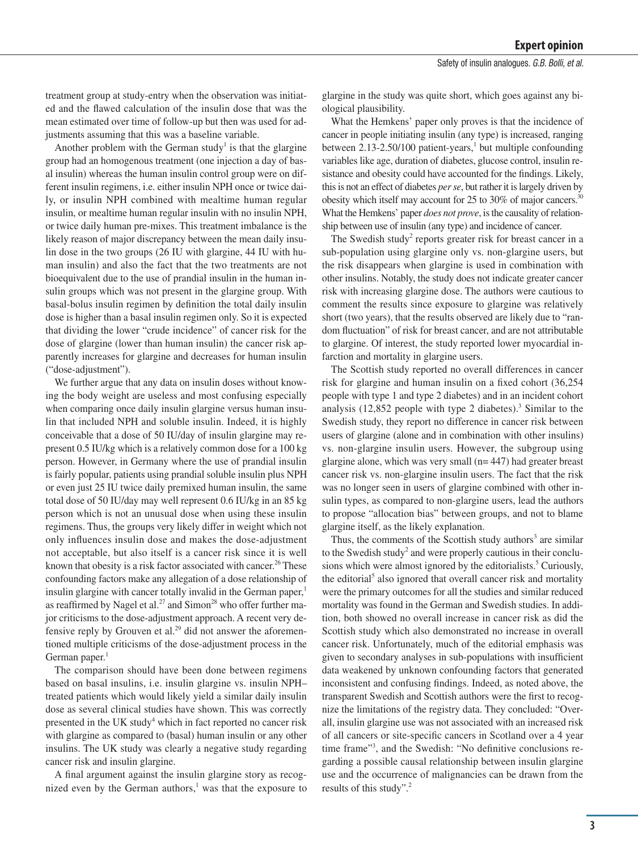treatment group at study-entry when the observation was initiated and the ßawed calculation of the insulin dose that was the mean estimated over time of follow-up but then was used for adjustments assuming that this was a baseline variable.

Another problem with the German study<sup>1</sup> is that the glargine group had an homogenous treatment (one injection a day of basal insulin) whereas the human insulin control group were on different insulin regimens, i.e. either insulin NPH once or twice daily, or insulin NPH combined with mealtime human regular insulin, or mealtime human regular insulin with no insulin NPH, or twice daily human pre-mixes. This treatment imbalance is the likely reason of major discrepancy between the mean daily insulin dose in the two groups (26 IU with glargine, 44 IU with human insulin) and also the fact that the two treatments are not bioequivalent due to the use of prandial insulin in the human insulin groups which was not present in the glargine group. With basal-bolus insulin regimen by definition the total daily insulin dose is higher than a basal insulin regimen only. So it is expected that dividing the lower "crude incidence" of cancer risk for the dose of glargine (lower than human insulin) the cancer risk apparently increases for glargine and decreases for human insulin ("dose-adjustment").

We further argue that any data on insulin doses without knowing the body weight are useless and most confusing especially when comparing once daily insulin glargine versus human insulin that included NPH and soluble insulin. Indeed, it is highly conceivable that a dose of 50 IU/day of insulin glargine may represent 0.5 IU/kg which is a relatively common dose for a 100 kg person. However, in Germany where the use of prandial insulin is fairly popular, patients using prandial soluble insulin plus NPH or even just 25 IU twice daily premixed human insulin, the same total dose of 50 IU/day may well represent 0.6 IU/kg in an 85 kg person which is not an unusual dose when using these insulin regimens. Thus, the groups very likely differ in weight which not only inßuences insulin dose and makes the dose-adjustment not acceptable, but also itself is a cancer risk since it is well known that obesity is a risk factor associated with cancer.<sup>26</sup> These confounding factors make any allegation of a dose relationship of insulin glargine with cancer totally invalid in the German paper, $<sup>1</sup>$ </sup> as reaffirmed by Nagel et al.<sup>27</sup> and Simon<sup>28</sup> who offer further major criticisms to the dose-adjustment approach. A recent very defensive reply by Grouven et al. $29$  did not answer the aforementioned multiple criticisms of the dose-adjustment process in the German paper. $<sup>1</sup>$ </sup>

The comparison should have been done between regimens based on basal insulins, i.e. insulin glargine vs. insulin NPH– treated patients which would likely yield a similar daily insulin dose as several clinical studies have shown. This was correctly presented in the UK study<sup>4</sup> which in fact reported no cancer risk with glargine as compared to (basal) human insulin or any other insulins. The UK study was clearly a negative study regarding cancer risk and insulin glargine.

A final argument against the insulin glargine story as recognized even by the German authors, $\frac{1}{1}$  was that the exposure to

glargine in the study was quite short, which goes against any biological plausibility.

What the Hemkens' paper only proves is that the incidence of cancer in people initiating insulin (any type) is increased, ranging between  $2.13 - 2.50/100$  patient-years,<sup>1</sup> but multiple confounding variables like age, duration of diabetes, glucose control, insulin resistance and obesity could have accounted for the findings. Likely, this is not an effect of diabetes *per se*, but rather it is largely driven by obesity which itself may account for 25 to 30% of major cancers.30 What the Hemkens' paper *does not prove*, is the causality of relationship between use of insulin (any type) and incidence of cancer.

The Swedish study<sup>2</sup> reports greater risk for breast cancer in a sub-population using glargine only vs. non-glargine users, but the risk disappears when glargine is used in combination with other insulins. Notably, the study does not indicate greater cancer risk with increasing glargine dose. The authors were cautious to comment the results since exposure to glargine was relatively short (two years), that the results observed are likely due to "random ßuctuation" of risk for breast cancer, and are not attributable to glargine. Of interest, the study reported lower myocardial infarction and mortality in glargine users.

The Scottish study reported no overall differences in cancer risk for glargine and human insulin on a fixed cohort  $(36,254)$ people with type 1 and type 2 diabetes) and in an incident cohort analysis  $(12,852)$  people with type 2 diabetes).<sup>3</sup> Similar to the Swedish study, they report no difference in cancer risk between users of glargine (alone and in combination with other insulins) vs. non-glargine insulin users. However, the subgroup using glargine alone, which was very small (n= 447) had greater breast cancer risk vs. non-glargine insulin users. The fact that the risk was no longer seen in users of glargine combined with other insulin types, as compared to non-glargine users, lead the authors to propose "allocation bias" between groups, and not to blame glargine itself, as the likely explanation.

Thus, the comments of the Scottish study authors<sup>3</sup> are similar to the Swedish study<sup>2</sup> and were properly cautious in their conclusions which were almost ignored by the editorialists.<sup>5</sup> Curiously, the editorial<sup>5</sup> also ignored that overall cancer risk and mortality were the primary outcomes for all the studies and similar reduced mortality was found in the German and Swedish studies. In addition, both showed no overall increase in cancer risk as did the Scottish study which also demonstrated no increase in overall cancer risk. Unfortunately, much of the editorial emphasis was given to secondary analyses in sub-populations with insufficient data weakened by unknown confounding factors that generated inconsistent and confusing findings. Indeed, as noted above, the transparent Swedish and Scottish authors were the first to recognize the limitations of the registry data. They concluded: "Overall, insulin glargine use was not associated with an increased risk of all cancers or site-specific cancers in Scotland over a 4 year time frame"<sup>3</sup>, and the Swedish: "No definitive conclusions regarding a possible causal relationship between insulin glargine use and the occurrence of malignancies can be drawn from the results of this study".<sup>2</sup>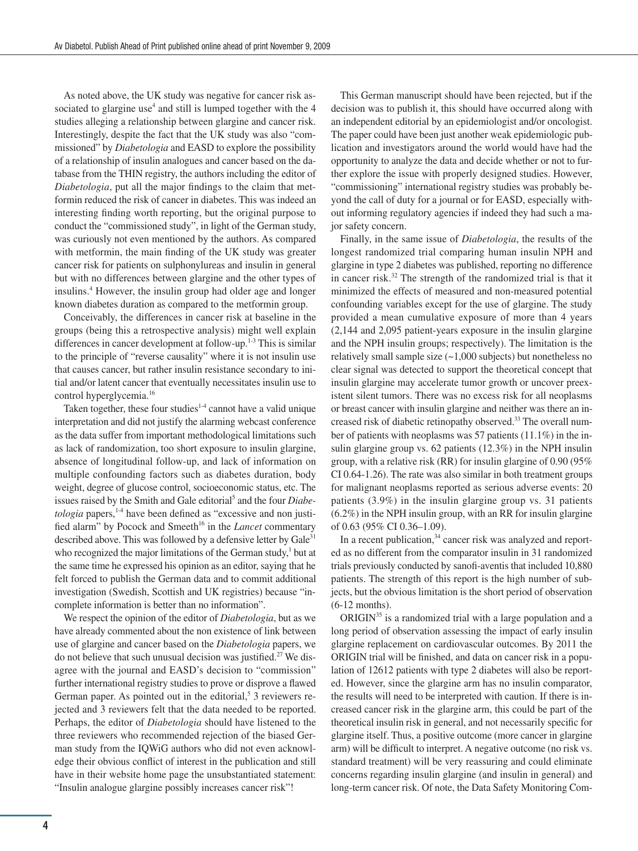As noted above, the UK study was negative for cancer risk associated to glargine use<sup>4</sup> and still is lumped together with the  $4$ studies alleging a relationship between glargine and cancer risk. Interestingly, despite the fact that the UK study was also "commissioned" by *Diabetologia* and EASD to explore the possibility of a relationship of insulin analogues and cancer based on the database from the THIN registry, the authors including the editor of *Diabetologia*, put all the major findings to the claim that metformin reduced the risk of cancer in diabetes. This was indeed an interesting finding worth reporting, but the original purpose to conduct the "commissioned study", in light of the German study, was curiously not even mentioned by the authors. As compared with metformin, the main finding of the UK study was greater cancer risk for patients on sulphonylureas and insulin in general but with no differences between glargine and the other types of insulins.<sup>4</sup> However, the insulin group had older age and longer known diabetes duration as compared to the metformin group.

Conceivably, the differences in cancer risk at baseline in the groups (being this a retrospective analysis) might well explain differences in cancer development at follow-up.<sup>1-3</sup> This is similar to the principle of "reverse causality" where it is not insulin use that causes cancer, but rather insulin resistance secondary to initial and/or latent cancer that eventually necessitates insulin use to control hyperglycemia.<sup>16</sup>

Taken together, these four studies<sup>1-4</sup> cannot have a valid unique interpretation and did not justify the alarming webcast conference as the data suffer from important methodological limitations such as lack of randomization, too short exposure to insulin glargine, absence of longitudinal follow-up, and lack of information on multiple confounding factors such as diabetes duration, body weight, degree of glucose control, socioeconomic status, etc. The issues raised by the Smith and Gale editorial<sup>5</sup> and the four *Diabetologia* papers,<sup>1-4</sup> have been defined as "excessive and non justified alarm" by Pocock and Smeeth<sup>16</sup> in the *Lancet* commentary described above. This was followed by a defensive letter by Gale<sup>31</sup> who recognized the major limitations of the German study, $<sup>1</sup>$  but at</sup> the same time he expressed his opinion as an editor, saying that he felt forced to publish the German data and to commit additional investigation (Swedish, Scottish and UK registries) because "incomplete information is better than no information".

We respect the opinion of the editor of *Diabetologia*, but as we have already commented about the non existence of link between use of glargine and cancer based on the *Diabetologia* papers, we do not believe that such unusual decision was justified.<sup>27</sup> We disagree with the journal and EASD's decision to "commission" further international registry studies to prove or disprove a ßawed German paper. As pointed out in the editorial,<sup>5</sup> 3 reviewers rejected and 3 reviewers felt that the data needed to be reported. Perhaps, the editor of *Diabetologia* should have listened to the three reviewers who recommended rejection of the biased German study from the IQWiG authors who did not even acknowledge their obvious conßict of interest in the publication and still have in their website home page the unsubstantiated statement: "Insulin analogue glargine possibly increases cancer risk"!

This German manuscript should have been rejected, but if the decision was to publish it, this should have occurred along with an independent editorial by an epidemiologist and/or oncologist. The paper could have been just another weak epidemiologic publication and investigators around the world would have had the opportunity to analyze the data and decide whether or not to further explore the issue with properly designed studies. However, "commissioning" international registry studies was probably beyond the call of duty for a journal or for EASD, especially without informing regulatory agencies if indeed they had such a major safety concern.

Finally, in the same issue of *Diabetologia*, the results of the longest randomized trial comparing human insulin NPH and glargine in type 2 diabetes was published, reporting no difference in cancer risk.<sup>32</sup> The strength of the randomized trial is that it minimized the effects of measured and non-measured potential confounding variables except for the use of glargine. The study provided a mean cumulative exposure of more than 4 years (2,144 and 2,095 patient-years exposure in the insulin glargine and the NPH insulin groups; respectively). The limitation is the relatively small sample size (~1,000 subjects) but nonetheless no clear signal was detected to support the theoretical concept that insulin glargine may accelerate tumor growth or uncover preexistent silent tumors. There was no excess risk for all neoplasms or breast cancer with insulin glargine and neither was there an increased risk of diabetic retinopathy observed.33 The overall number of patients with neoplasms was 57 patients (11.1%) in the insulin glargine group vs. 62 patients (12.3%) in the NPH insulin group, with a relative risk (RR) for insulin glargine of 0.90 (95% CI 0.64-1.26). The rate was also similar in both treatment groups for malignant neoplasms reported as serious adverse events: 20 patients (3.9%) in the insulin glargine group vs. 31 patients (6.2%) in the NPH insulin group, with an RR for insulin glargine of 0.63 (95% CI 0.36–1.09).

In a recent publication,<sup>34</sup> cancer risk was analyzed and reported as no different from the comparator insulin in 31 randomized trials previously conducted by sanofi-aventis that included 10,880 patients. The strength of this report is the high number of subjects, but the obvious limitation is the short period of observation (6-12 months).

ORIGIN<sup>35</sup> is a randomized trial with a large population and a long period of observation assessing the impact of early insulin glargine replacement on cardiovascular outcomes. By 2011 the ORIGIN trial will be finished, and data on cancer risk in a population of 12612 patients with type 2 diabetes will also be reported. However, since the glargine arm has no insulin comparator, the results will need to be interpreted with caution. If there is increased cancer risk in the glargine arm, this could be part of the theoretical insulin risk in general, and not necessarily specific for glargine itself. Thus, a positive outcome (more cancer in glargine arm) will be difficult to interpret. A negative outcome (no risk vs. standard treatment) will be very reassuring and could eliminate concerns regarding insulin glargine (and insulin in general) and long-term cancer risk. Of note, the Data Safety Monitoring Com-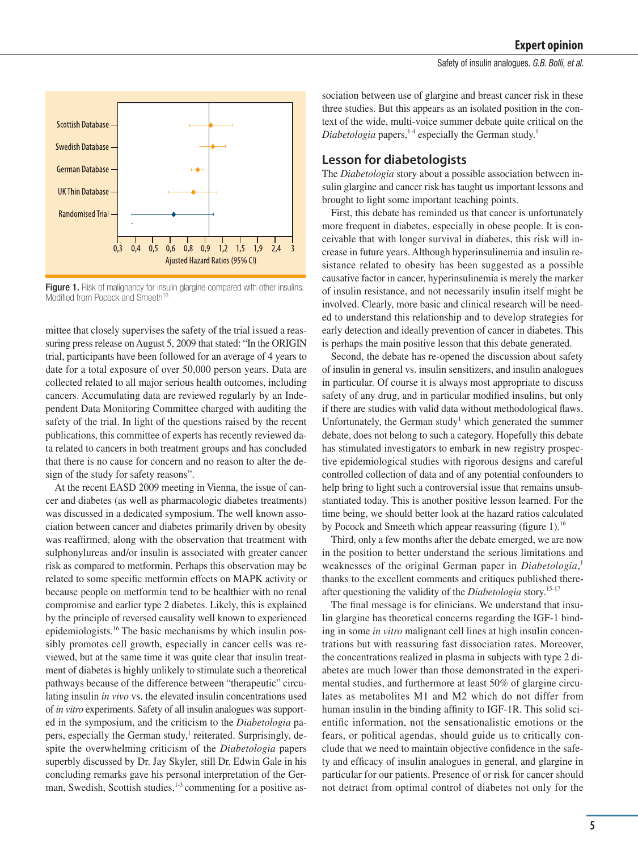

Figure 1. Risk of malignancy for insulin glargine compared with other insulins. Modified from Pocock and Smeeth<sup>16</sup>

mittee that closely supervises the safety of the trial issued a reassuring press release on August 5, 2009 that stated: "In the ORIGIN trial, participants have been followed for an average of 4 years to date for a total exposure of over 50,000 person years. Data are collected related to all major serious health outcomes, including cancers. Accumulating data are reviewed regularly by an Independent Data Monitoring Committee charged with auditing the safety of the trial. In light of the questions raised by the recent publications, this committee of experts has recently reviewed data related to cancers in both treatment groups and has concluded that there is no cause for concern and no reason to alter the design of the study for safety reasons".

At the recent EASD 2009 meeting in Vienna, the issue of cancer and diabetes (as well as pharmacologic diabetes treatments) was discussed in a dedicated symposium. The well known association between cancer and diabetes primarily driven by obesity was reaffirmed, along with the observation that treatment with sulphonylureas and/or insulin is associated with greater cancer risk as compared to metformin. Perhaps this observation may be related to some specific metformin effects on MAPK activity or because people on metformin tend to be healthier with no renal compromise and earlier type 2 diabetes. Likely, this is explained by the principle of reversed causality well known to experienced epidemiologists.<sup>16</sup> The basic mechanisms by which insulin possibly promotes cell growth, especially in cancer cells was reviewed, but at the same time it was quite clear that insulin treatment of diabetes is highly unlikely to stimulate such a theoretical pathways because of the difference between "therapeutic" circulating insulin *in vivo* vs. the elevated insulin concentrations used of *in vitro* experiments. Safety of all insulin analogues was supported in the symposium, and the criticism to the *Diabetologia* papers, especially the German study,<sup>1</sup> reiterated. Surprisingly, despite the overwhelming criticism of the *Diabetologia* papers superbly discussed by Dr. Jay Skyler, still Dr. Edwin Gale in his concluding remarks gave his personal interpretation of the German, Swedish, Scottish studies,<sup>1-3</sup> commenting for a positive as-

sociation between use of glargine and breast cancer risk in these three studies. But this appears as an isolated position in the context of the wide, multi-voice summer debate quite critical on the *Diabetologia* papers,<sup>1-4</sup> especially the German study.<sup>1</sup>

#### **Lesson for diabetologists**

The *Diabetologia* story about a possible association between insulin glargine and cancer risk has taught us important lessons and brought to light some important teaching points.

First, this debate has reminded us that cancer is unfortunately more frequent in diabetes, especially in obese people. It is conceivable that with longer survival in diabetes, this risk will increase in future years. Although hyperinsulinemia and insulin resistance related to obesity has been suggested as a possible causative factor in cancer, hyperinsulinemia is merely the marker of insulin resistance, and not necessarily insulin itself might be involved. Clearly, more basic and clinical research will be needed to understand this relationship and to develop strategies for early detection and ideally prevention of cancer in diabetes. This is perhaps the main positive lesson that this debate generated.

Second, the debate has re-opened the discussion about safety of insulin in general vs. insulin sensitizers, and insulin analogues in particular. Of course it is always most appropriate to discuss safety of any drug, and in particular modified insulins, but only if there are studies with valid data without methodological ßaws. Unfortunately, the German study<sup>1</sup> which generated the summer debate, does not belong to such a category. Hopefully this debate has stimulated investigators to embark in new registry prospective epidemiological studies with rigorous designs and careful controlled collection of data and of any potential confounders to help bring to light such a controversial issue that remains unsubstantiated today. This is another positive lesson learned. For the time being, we should better look at the hazard ratios calculated by Pocock and Smeeth which appear reassuring (figure 1).<sup>16</sup>

Third, only a few months after the debate emerged, we are now in the position to better understand the serious limitations and weaknesses of the original German paper in *Diabetologia*, 1 thanks to the excellent comments and critiques published thereafter questioning the validity of the *Diabetologia* story.15-17

The final message is for clinicians. We understand that insulin glargine has theoretical concerns regarding the IGF-1 binding in some *in vitro* malignant cell lines at high insulin concentrations but with reassuring fast dissociation rates. Moreover, the concentrations realized in plasma in subjects with type 2 diabetes are much lower than those demonstrated in the experimental studies, and furthermore at least 50% of glargine circulates as metabolites M1 and M2 which do not differ from human insulin in the binding affinity to IGF-1R. This solid scientific information, not the sensationalistic emotions or the fears, or political agendas, should guide us to critically conclude that we need to maintain objective confidence in the safety and efficacy of insulin analogues in general, and glargine in particular for our patients. Presence of or risk for cancer should not detract from optimal control of diabetes not only for the